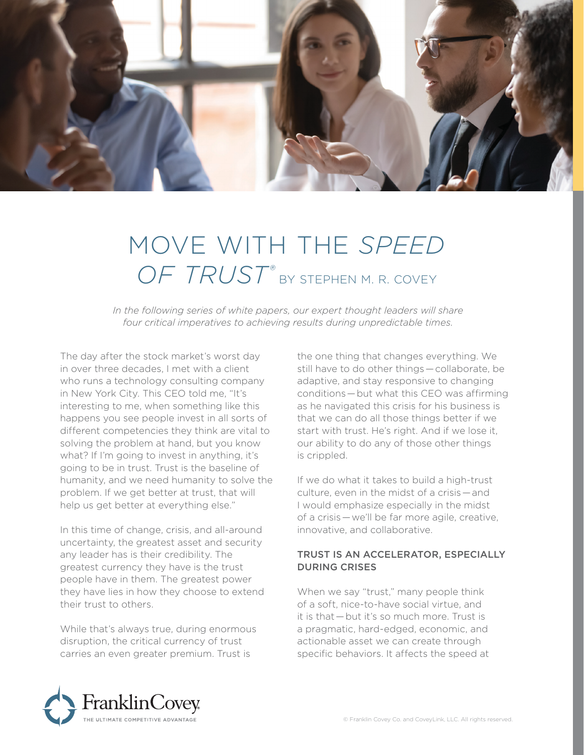

## MOVE WITH THE *SPEED*  OF TRUST<sup>®</sup> BY STEPHEN M. R. COVEY

In the following series of white papers, our expert thought leaders will share *four critical imperatives to achieving results during unpredictable times.* 

The day after the stock market's worst day in over three decades, I met with a client who runs a technology consulting company in New York City. This CEO told me, "It's interesting to me, when something like this happens you see people invest in all sorts of different competencies they think are vital to solving the problem at hand, but you know what? If I'm going to invest in anything, it's going to be in trust. Trust is the baseline of humanity, and we need humanity to solve the problem. If we get better at trust, that will help us get better at everything else."

In this time of change, crisis, and all-around uncertainty, the greatest asset and security any leader has is their credibility. The greatest currency they have is the trust people have in them. The greatest power they have lies in how they choose to extend their trust to others.

While that's always true, during enormous disruption, the critical currency of trust carries an even greater premium. Trust is

the one thing that changes everything. We still have to do other things — collaborate, be adaptive, and stay responsive to changing conditions — but what this CEO was affirming as he navigated this crisis for his business is that we can do all those things better if we start with trust. He's right. And if we lose it, our ability to do any of those other things is crippled.

If we do what it takes to build a high-trust culture, even in the midst of a crisis — and I would emphasize especially in the midst of a crisis — we'll be far more agile, creative, innovative, and collaborative.

## TRUST IS AN ACCELERATOR, ESPECIALLY DURING CRISES

When we say "trust," many people think of a soft, nice-to-have social virtue, and it is that — but it's so much more. Trust is a pragmatic, hard-edged, economic, and actionable asset we can create through specific behaviors. It affects the speed at

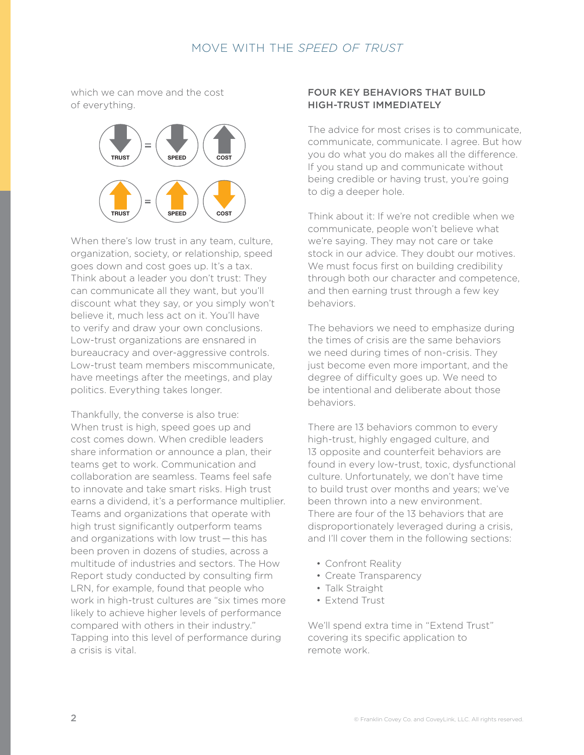which we can move and the cost of everything.



When there's low trust in any team, culture, organization, society, or relationship, speed goes down and cost goes up. It's a tax. Think about a leader you don't trust: They can communicate all they want, but you'll discount what they say, or you simply won't believe it, much less act on it. You'll have to verify and draw your own conclusions. Low-trust organizations are ensnared in bureaucracy and over-aggressive controls. Low-trust team members miscommunicate, have meetings after the meetings, and play politics. Everything takes longer.

Thankfully, the converse is also true: When trust is high, speed goes up and cost comes down. When credible leaders share information or announce a plan, their teams get to work. Communication and collaboration are seamless. Teams feel safe to innovate and take smart risks. High trust earns a dividend, it's a performance multiplier. Teams and organizations that operate with high trust significantly outperform teams and organizations with low trust — this has been proven in dozens of studies, across a multitude of industries and sectors. The How Report study conducted by consulting firm LRN, for example, found that people who work in high-trust cultures are "six times more likely to achieve higher levels of performance compared with others in their industry." Tapping into this level of performance during a crisis is vital.

### FOUR KEY BEHAVIORS THAT BUILD HIGH-TRUST IMMEDIATELY

The advice for most crises is to communicate, communicate, communicate. I agree. But how you do what you do makes all the difference. If you stand up and communicate without being credible or having trust, you're going to dig a deeper hole.

Think about it: If we're not credible when we communicate, people won't believe what we're saying. They may not care or take stock in our advice. They doubt our motives. We must focus first on building credibility through both our character and competence, and then earning trust through a few key behaviors.

The behaviors we need to emphasize during the times of crisis are the same behaviors we need during times of non-crisis. They just become even more important, and the degree of difficulty goes up. We need to be intentional and deliberate about those behaviors.

There are 13 behaviors common to every high-trust, highly engaged culture, and 13 opposite and counterfeit behaviors are found in every low-trust, toxic, dysfunctional culture. Unfortunately, we don't have time to build trust over months and years; we've been thrown into a new environment. There are four of the 13 behaviors that are disproportionately leveraged during a crisis, and I'll cover them in the following sections:

- Confront Reality
- Create Transparency
- Talk Straight
- Extend Trust

We'll spend extra time in "Extend Trust" covering its specific application to remote work.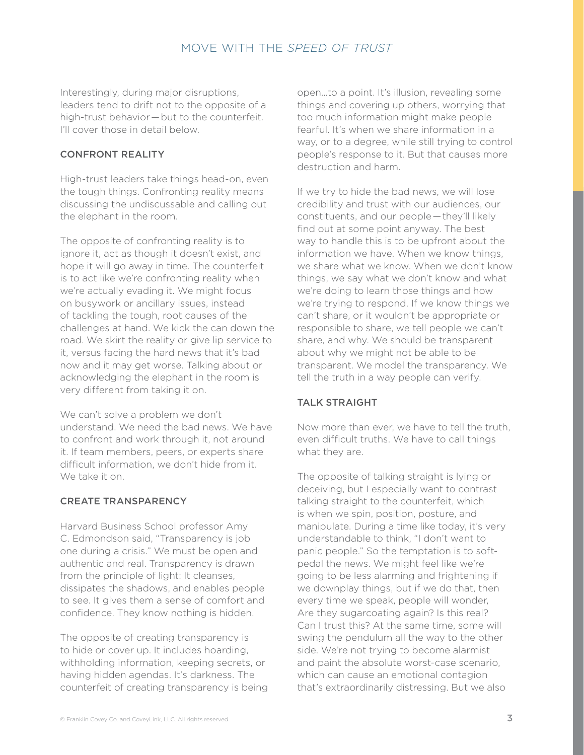Interestingly, during major disruptions, leaders tend to drift not to the opposite of a high-trust behavior — but to the counterfeit. I'll cover those in detail below.

## CONFRONT REALITY

High-trust leaders take things head-on, even the tough things. Confronting reality means discussing the undiscussable and calling out the elephant in the room.

The opposite of confronting reality is to ignore it, act as though it doesn't exist, and hope it will go away in time. The counterfeit is to act like we're confronting reality when we're actually evading it. We might focus on busywork or ancillary issues, instead of tackling the tough, root causes of the challenges at hand. We kick the can down the road. We skirt the reality or give lip service to it, versus facing the hard news that it's bad now and it may get worse. Talking about or acknowledging the elephant in the room is very different from taking it on.

We can't solve a problem we don't understand. We need the bad news. We have to confront and work through it, not around it. If team members, peers, or experts share difficult information, we don't hide from it. We take it on.

#### CREATE TRANSPARENCY

Harvard Business School professor Amy C. Edmondson said, "Transparency is job one during a crisis." We must be open and authentic and real. Transparency is drawn from the principle of light: It cleanses, dissipates the shadows, and enables people to see. It gives them a sense of comfort and confidence. They know nothing is hidden.

The opposite of creating transparency is to hide or cover up. It includes hoarding, withholding information, keeping secrets, or having hidden agendas. It's darkness. The counterfeit of creating transparency is being

open…to a point. It's illusion, revealing some things and covering up others, worrying that too much information might make people fearful. It's when we share information in a way, or to a degree, while still trying to control people's response to it. But that causes more destruction and harm.

If we try to hide the bad news, we will lose credibility and trust with our audiences, our constituents, and our people — they'll likely find out at some point anyway. The best way to handle this is to be upfront about the information we have. When we know things, we share what we know. When we don't know things, we say what we don't know and what we're doing to learn those things and how we're trying to respond. If we know things we can't share, or it wouldn't be appropriate or responsible to share, we tell people we can't share, and why. We should be transparent about why we might not be able to be transparent. We model the transparency. We tell the truth in a way people can verify.

#### TALK STRAIGHT

Now more than ever, we have to tell the truth, even difficult truths. We have to call things what they are.

The opposite of talking straight is lying or deceiving, but I especially want to contrast talking straight to the counterfeit, which is when we spin, position, posture, and manipulate. During a time like today, it's very understandable to think, "I don't want to panic people." So the temptation is to softpedal the news. We might feel like we're going to be less alarming and frightening if we downplay things, but if we do that, then every time we speak, people will wonder, Are they sugarcoating again? Is this real? Can I trust this? At the same time, some will swing the pendulum all the way to the other side. We're not trying to become alarmist and paint the absolute worst-case scenario, which can cause an emotional contagion that's extraordinarily distressing. But we also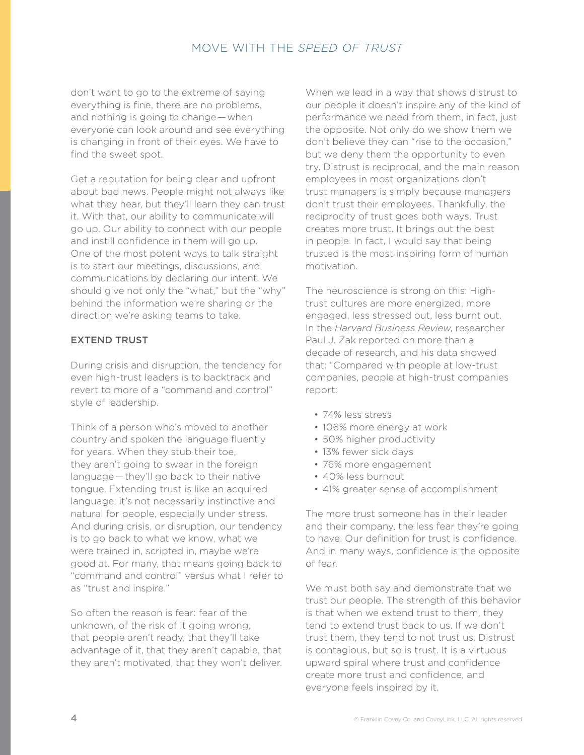don't want to go to the extreme of saying everything is fine, there are no problems, and nothing is going to change — when everyone can look around and see everything is changing in front of their eyes. We have to find the sweet spot.

Get a reputation for being clear and upfront about bad news. People might not always like what they hear, but they'll learn they can trust it. With that, our ability to communicate will go up. Our ability to connect with our people and instill confidence in them will go up. One of the most potent ways to talk straight is to start our meetings, discussions, and communications by declaring our intent. We should give not only the "what," but the "why" behind the information we're sharing or the direction we're asking teams to take.

## EXTEND TRUST

During crisis and disruption, the tendency for even high-trust leaders is to backtrack and revert to more of a "command and control" style of leadership.

Think of a person who's moved to another country and spoken the language fluently for years. When they stub their toe, they aren't going to swear in the foreign language — they'll go back to their native tongue. Extending trust is like an acquired language; it's not necessarily instinctive and natural for people, especially under stress. And during crisis, or disruption, our tendency is to go back to what we know, what we were trained in, scripted in, maybe we're good at. For many, that means going back to "command and control" versus what I refer to as "trust and inspire."

So often the reason is fear: fear of the unknown, of the risk of it going wrong, that people aren't ready, that they'll take advantage of it, that they aren't capable, that they aren't motivated, that they won't deliver. When we lead in a way that shows distrust to our people it doesn't inspire any of the kind of performance we need from them, in fact, just the opposite. Not only do we show them we don't believe they can "rise to the occasion," but we deny them the opportunity to even try. Distrust is reciprocal, and the main reason employees in most organizations don't trust managers is simply because managers don't trust their employees. Thankfully, the reciprocity of trust goes both ways. Trust creates more trust. It brings out the best in people. In fact, I would say that being trusted is the most inspiring form of human motivation.

The neuroscience is strong on this: Hightrust cultures are more energized, more engaged, less stressed out, less burnt out. In the *Harvard Business Review*, researcher Paul J. Zak reported on more than a decade of research, and his data showed that: "Compared with people at low-trust companies, people at high-trust companies report:

- 74% less stress
- 106% more energy at work
- 50% higher productivity
- 13% fewer sick days
- 76% more engagement
- 40% less burnout
- 41% greater sense of accomplishment

The more trust someone has in their leader and their company, the less fear they're going to have. Our definition for trust is confidence. And in many ways, confidence is the opposite of fear.

We must both say and demonstrate that we trust our people. The strength of this behavior is that when we extend trust to them, they tend to extend trust back to us. If we don't trust them, they tend to not trust us. Distrust is contagious, but so is trust. It is a virtuous upward spiral where trust and confidence create more trust and confidence, and everyone feels inspired by it.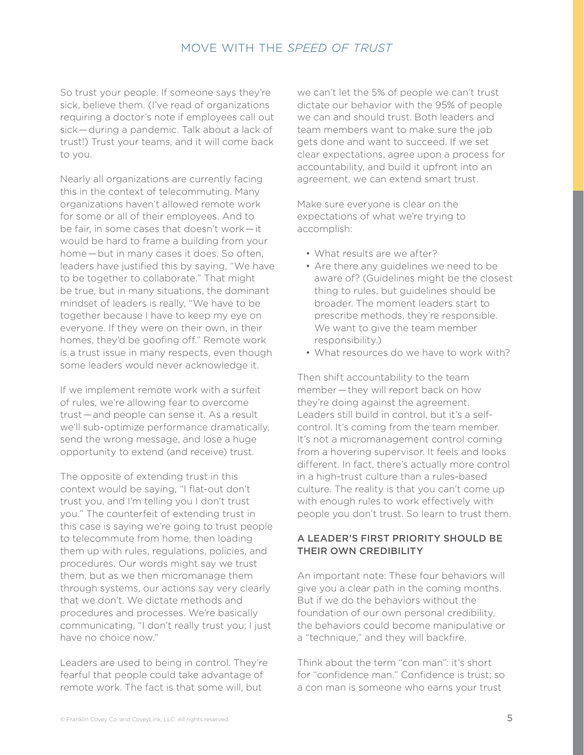So trust your people. If someone says they're sick, believe them. (I've read of organizations requiring a doctor's note if employees call out sick — during a pandemic. Talk about a lack of trust!) Trust your teams, and it will come back to you.

Nearly all organizations are currently facing this in the context of telecommuting. Many organizations haven't allowed remote work for some or all of their employees. And to be fair, in some cases that doesn't work — it would be hard to frame a building from your home — but in many cases it does. So often, leaders have justified this by saying, "We have to be together to collaborate." That might be true, but in many situations, the dominant mindset of leaders is really, "We have to be together because I have to keep my eye on everyone. If they were on their own, in their homes, they'd be goofing off." Remote work is a trust issue in many respects, even though some leaders would never acknowledge it.

If we implement remote work with a surfeit of rules, we're allowing fear to overcome trust — and people can sense it. As a result we'll sub-optimize performance dramatically, send the wrong message, and lose a huge opportunity to extend (and receive) trust.

The opposite of extending trust in this context would be saying, "I flat-out don't trust you, and I'm telling you I don't trust you." The counterfeit of extending trust in this case is saying we're going to trust people to telecommute from home, then loading them up with rules, regulations, policies, and procedures. Our words might say we trust them, but as we then micromanage them through systems, our actions say very clearly that we don't. We dictate methods and procedures and processes. We're basically communicating, "I don't really trust you; I just have no choice now."

Leaders are used to being in control. They're fearful that people could take advantage of remote work. The fact is that some will, but

we can't let the 5% of people we can't trust dictate our behavior with the 95% of people we can and should trust. Both leaders and team members want to make sure the job gets done and want to succeed. If we set clear expectations, agree upon a process for accountability, and build it upfront into an agreement, we can extend smart trust.

Make sure everyone is clear on the expectations of what we're trying to accomplish:

- What results are we after?
- Are there any guidelines we need to be aware of? (Guidelines might be the closest thing to rules, but guidelines should be broader. The moment leaders start to prescribe methods, they're responsible. We want to give the team member responsibility.)
- What resources do we have to work with?

Then shift accountability to the team member — they will report back on how they're doing against the agreement. Leaders still build in control, but it's a selfcontrol. It's coming from the team member. It's not a micromanagement control coming from a hovering supervisor. It feels and looks different. In fact, there's actually more control in a high-trust culture than a rules-based culture. The reality is that you can't come up with enough rules to work effectively with people you don't trust. So learn to trust them.

## A LEADER'S FIRST PRIORITY SHOULD BE THEIR OWN CREDIBILITY

An important note: These four behaviors will give you a clear path in the coming months. But if we do the behaviors without the foundation of our own personal credibility, the behaviors could become manipulative or a "technique," and they will backfire.

Think about the term "con man": it's short for "confidence man." Confidence is trust; so a con man is someone who earns your trust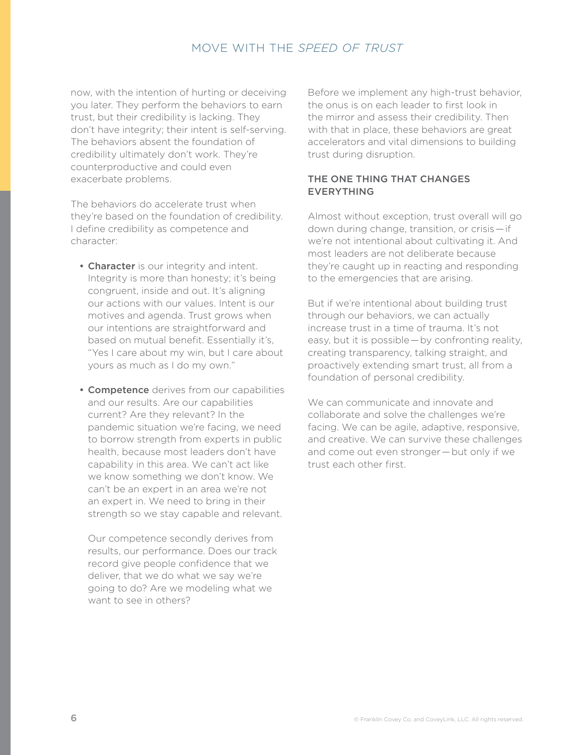now, with the intention of hurting or deceiving you later. They perform the behaviors to earn trust, but their credibility is lacking. They don't have integrity; their intent is self-serving. The behaviors absent the foundation of credibility ultimately don't work. They're counterproductive and could even exacerbate problems.

The behaviors do accelerate trust when they're based on the foundation of credibility. I define credibility as competence and character:

- Character is our integrity and intent. Integrity is more than honesty; it's being congruent, inside and out. It's aligning our actions with our values. Intent is our motives and agenda. Trust grows when our intentions are straightforward and based on mutual benefit. Essentially it's, "Yes I care about my win, but I care about yours as much as I do my own."
- **Competence** derives from our capabilities and our results. Are our capabilities current? Are they relevant? In the pandemic situation we're facing, we need to borrow strength from experts in public health, because most leaders don't have capability in this area. We can't act like we know something we don't know. We can't be an expert in an area we're not an expert in. We need to bring in their strength so we stay capable and relevant.

Our competence secondly derives from results, our performance. Does our track record give people confidence that we deliver, that we do what we say we're going to do? Are we modeling what we want to see in others?

Before we implement any high-trust behavior, the onus is on each leader to first look in the mirror and assess their credibility. Then with that in place, these behaviors are great accelerators and vital dimensions to building trust during disruption.

## THE ONE THING THAT CHANGES EVERYTHING

Almost without exception, trust overall will go down during change, transition, or crisis — if we're not intentional about cultivating it. And most leaders are not deliberate because they're caught up in reacting and responding to the emergencies that are arising.

But if we're intentional about building trust through our behaviors, we can actually increase trust in a time of trauma. It's not easy, but it is possible - by confronting reality, creating transparency, talking straight, and proactively extending smart trust, all from a foundation of personal credibility.

We can communicate and innovate and collaborate and solve the challenges we're facing. We can be agile, adaptive, responsive, and creative. We can survive these challenges and come out even stronger — but only if we trust each other first.